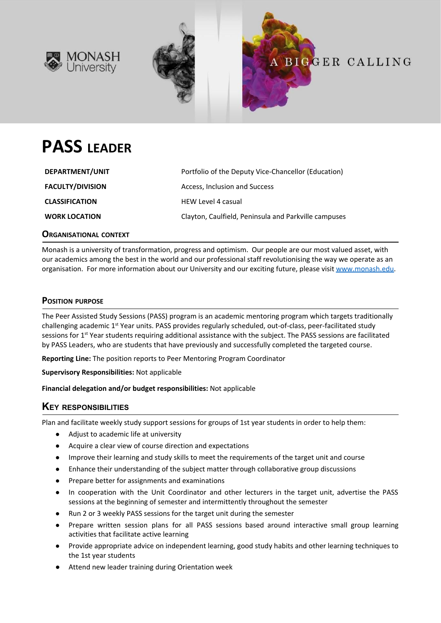



# **PASS LEADER**

| DEPARTMENT/UNIT         | Portfolio of the Deputy Vice-Chancellor (Education)  |
|-------------------------|------------------------------------------------------|
| <b>FACULTY/DIVISION</b> | Access, Inclusion and Success                        |
| <b>CLASSIFICATION</b>   | <b>HEW Level 4 casual</b>                            |
| <b>WORK LOCATION</b>    | Clayton, Caulfield, Peninsula and Parkville campuses |

**ORGANISATIONAL CONTEXT**

Monash is a university of transformation, progress and optimism. Our people are our most valued asset, with our academics among the best in the world and our professional staff revolutionising the way we operate as an organisation. For more information about our University and our exciting future, please visit [www.monash.edu.](http://www.monash.edu/)

# **POSITION PURPOSE**

The Peer Assisted Study Sessions (PASS) program is an academic mentoring program which targets traditionally challenging academic 1<sup>st</sup> Year units. PASS provides regularly scheduled, out-of-class, peer-facilitated study sessions for 1<sup>st</sup> Year students requiring additional assistance with the subject. The PASS sessions are facilitated by PASS Leaders, who are students that have previously and successfully completed the targeted course.

**Reporting Line:** The position reports to Peer Mentoring Program Coordinator

**Supervisory Responsibilities:** Not applicable

**Financial delegation and/or budget responsibilities:** Not applicable

# **KEY RESPONSIBILITIES**

Plan and facilitate weekly study support sessions for groups of 1st year students in order to help them:

- Adjust to academic life at university
- Acquire a clear view of course direction and expectations
- Improve their learning and study skills to meet the requirements of the target unit and course
- Enhance their understanding of the subject matter through collaborative group discussions
- Prepare better for assignments and examinations
- In cooperation with the Unit Coordinator and other lecturers in the target unit, advertise the PASS sessions at the beginning of semester and intermittently throughout the semester
- Run 2 or 3 weekly PASS sessions for the target unit during the semester
- Prepare written session plans for all PASS sessions based around interactive small group learning activities that facilitate active learning
- Provide appropriate advice on independent learning, good study habits and other learning techniques to the 1st year students
- Attend new leader training during Orientation week